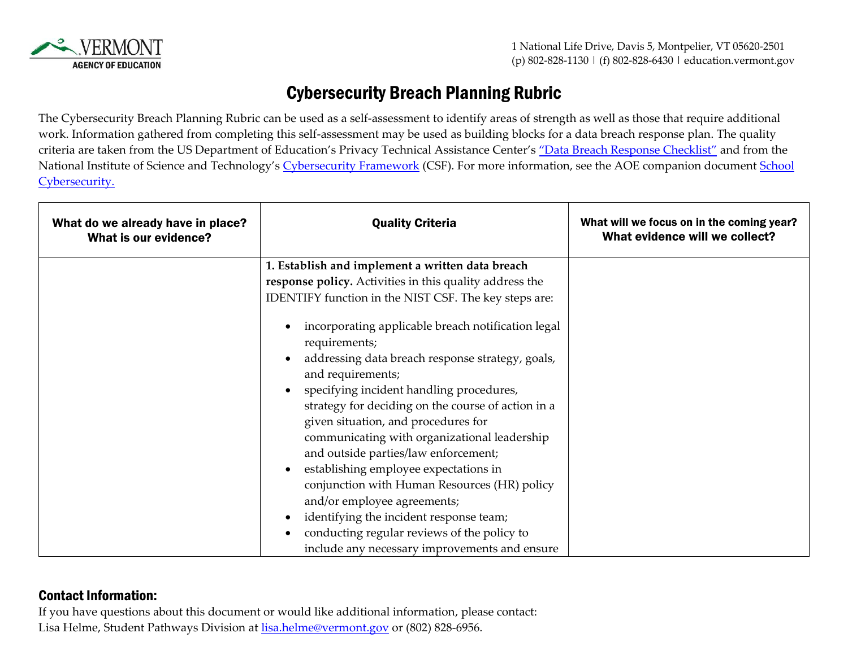

## Cybersecurity Breach Planning Rubric

The Cybersecurity Breach Planning Rubric can be used as a self-assessment to identify areas of strength as well as those that require additional work. Information gathered from completing this self-assessment may be used as building blocks for a data breach response plan. The quality criteria are taken from the US Department of Education's Privacy Technical Assistance Center's ["Data Breach Response Checklist"](https://studentprivacy.ed.gov/resources/data-breach-response-checklist) and from the National Institute of Science and Technology's [Cybersecurity Framework](https://csrc.nist.gov/Projects/cybersecurity-framework/nist-cybersecurity-framework-a-quick-start-guide) (CSF). For more information, see the AOE companion document [School](https://education.vermont.gov/documents/cybersecurity-resources-2022) [Cybersecurity.](https://education.vermont.gov/documents/cybersecurity-resources-2022) 

| What do we already have in place?<br>What is our evidence? | <b>Quality Criteria</b>                                                                                                                                                                                                                                                                                                                                                                                                                                                                                                                                                                                                                          | What will we focus on in the coming year?<br>What evidence will we collect? |
|------------------------------------------------------------|--------------------------------------------------------------------------------------------------------------------------------------------------------------------------------------------------------------------------------------------------------------------------------------------------------------------------------------------------------------------------------------------------------------------------------------------------------------------------------------------------------------------------------------------------------------------------------------------------------------------------------------------------|-----------------------------------------------------------------------------|
|                                                            | 1. Establish and implement a written data breach<br>response policy. Activities in this quality address the<br>IDENTIFY function in the NIST CSF. The key steps are:                                                                                                                                                                                                                                                                                                                                                                                                                                                                             |                                                                             |
|                                                            | incorporating applicable breach notification legal<br>requirements;<br>addressing data breach response strategy, goals,<br>and requirements;<br>specifying incident handling procedures,<br>strategy for deciding on the course of action in a<br>given situation, and procedures for<br>communicating with organizational leadership<br>and outside parties/law enforcement;<br>establishing employee expectations in<br>conjunction with Human Resources (HR) policy<br>and/or employee agreements;<br>identifying the incident response team;<br>conducting regular reviews of the policy to<br>include any necessary improvements and ensure |                                                                             |

## Contact Information:

If you have questions about this document or would like additional information, please contact: Lisa Helme, Student Pathways Division at [lisa.helme@vermont.gov](mailto:lisa.helme@vermont.gov) or (802) 828-6956.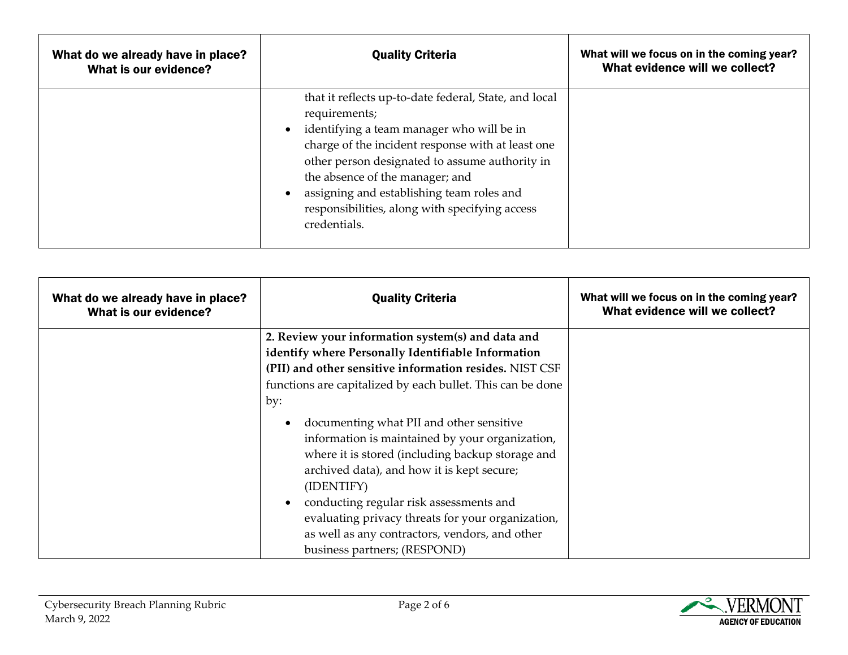| What do we already have in place?<br>What is our evidence? | <b>Quality Criteria</b>                                                                                                                                                                                                                                                                                                                                                      | What will we focus on in the coming year?<br>What evidence will we collect? |
|------------------------------------------------------------|------------------------------------------------------------------------------------------------------------------------------------------------------------------------------------------------------------------------------------------------------------------------------------------------------------------------------------------------------------------------------|-----------------------------------------------------------------------------|
|                                                            | that it reflects up-to-date federal, State, and local<br>requirements;<br>identifying a team manager who will be in<br>charge of the incident response with at least one<br>other person designated to assume authority in<br>the absence of the manager; and<br>assigning and establishing team roles and<br>responsibilities, along with specifying access<br>credentials. |                                                                             |

| What do we already have in place?<br>What is our evidence? | <b>Quality Criteria</b>                                    | What will we focus on in the coming year?<br>What evidence will we collect? |
|------------------------------------------------------------|------------------------------------------------------------|-----------------------------------------------------------------------------|
|                                                            | 2. Review your information system(s) and data and          |                                                                             |
|                                                            | identify where Personally Identifiable Information         |                                                                             |
|                                                            | (PII) and other sensitive information resides. NIST CSF    |                                                                             |
|                                                            | functions are capitalized by each bullet. This can be done |                                                                             |
|                                                            | by:                                                        |                                                                             |
|                                                            | documenting what PII and other sensitive                   |                                                                             |
|                                                            | information is maintained by your organization,            |                                                                             |
|                                                            | where it is stored (including backup storage and           |                                                                             |
|                                                            | archived data), and how it is kept secure;                 |                                                                             |
|                                                            | (IDENTIFY)                                                 |                                                                             |
|                                                            | conducting regular risk assessments and                    |                                                                             |
|                                                            | evaluating privacy threats for your organization,          |                                                                             |
|                                                            | as well as any contractors, vendors, and other             |                                                                             |
|                                                            | business partners; (RESPOND)                               |                                                                             |

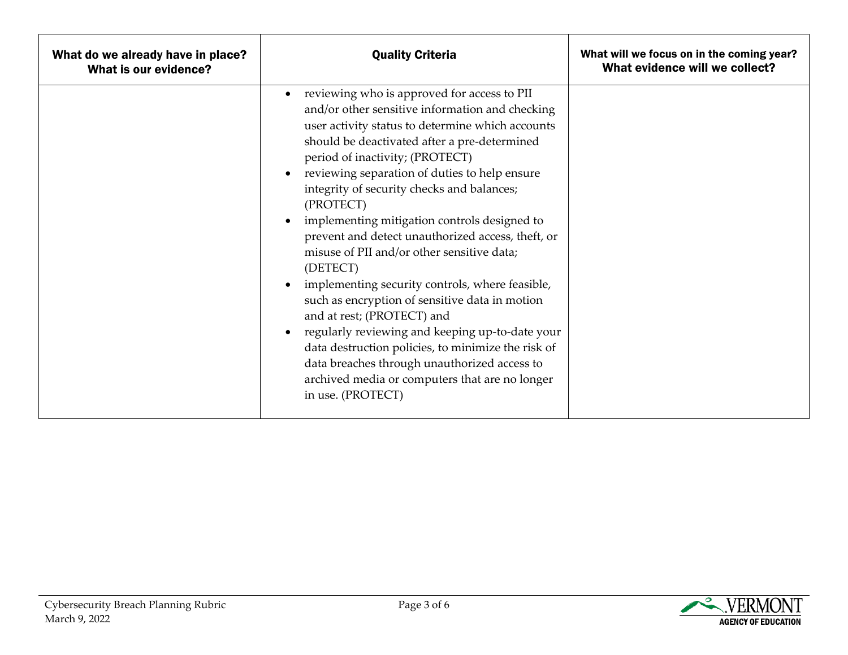| What do we already have in place?<br>What is our evidence? | <b>Quality Criteria</b>                                                                                                                                                                                                                                                                                                                                                                                                                                                                                                                                                                                                                                                                                                                                                                                                                                                             | What will we focus on in the coming year?<br>What evidence will we collect? |
|------------------------------------------------------------|-------------------------------------------------------------------------------------------------------------------------------------------------------------------------------------------------------------------------------------------------------------------------------------------------------------------------------------------------------------------------------------------------------------------------------------------------------------------------------------------------------------------------------------------------------------------------------------------------------------------------------------------------------------------------------------------------------------------------------------------------------------------------------------------------------------------------------------------------------------------------------------|-----------------------------------------------------------------------------|
|                                                            | reviewing who is approved for access to PII<br>and/or other sensitive information and checking<br>user activity status to determine which accounts<br>should be deactivated after a pre-determined<br>period of inactivity; (PROTECT)<br>reviewing separation of duties to help ensure<br>integrity of security checks and balances;<br>(PROTECT)<br>implementing mitigation controls designed to<br>prevent and detect unauthorized access, theft, or<br>misuse of PII and/or other sensitive data;<br>(DETECT)<br>implementing security controls, where feasible,<br>such as encryption of sensitive data in motion<br>and at rest; (PROTECT) and<br>regularly reviewing and keeping up-to-date your<br>data destruction policies, to minimize the risk of<br>data breaches through unauthorized access to<br>archived media or computers that are no longer<br>in use. (PROTECT) |                                                                             |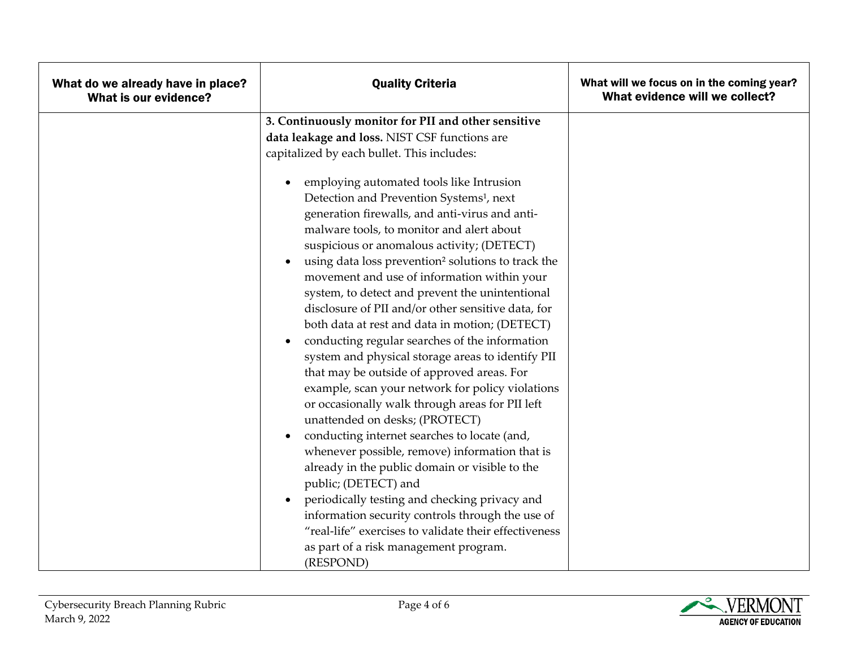| What do we already have in place?<br>What is our evidence? | <b>Quality Criteria</b>                                                                                                                                                                                                                                                                                                                                                                                                                                                                                                                                                                                                                                                                                                                                                                                                              | What will we focus on in the coming year?<br>What evidence will we collect? |
|------------------------------------------------------------|--------------------------------------------------------------------------------------------------------------------------------------------------------------------------------------------------------------------------------------------------------------------------------------------------------------------------------------------------------------------------------------------------------------------------------------------------------------------------------------------------------------------------------------------------------------------------------------------------------------------------------------------------------------------------------------------------------------------------------------------------------------------------------------------------------------------------------------|-----------------------------------------------------------------------------|
|                                                            | 3. Continuously monitor for PII and other sensitive<br>data leakage and loss. NIST CSF functions are<br>capitalized by each bullet. This includes:<br>employing automated tools like Intrusion<br>Detection and Prevention Systems <sup>1</sup> , next<br>generation firewalls, and anti-virus and anti-<br>malware tools, to monitor and alert about<br>suspicious or anomalous activity; (DETECT)<br>using data loss prevention <sup>2</sup> solutions to track the<br>movement and use of information within your<br>system, to detect and prevent the unintentional<br>disclosure of PII and/or other sensitive data, for<br>both data at rest and data in motion; (DETECT)<br>conducting regular searches of the information<br>system and physical storage areas to identify PII<br>that may be outside of approved areas. For |                                                                             |
|                                                            | example, scan your network for policy violations<br>or occasionally walk through areas for PII left<br>unattended on desks; (PROTECT)<br>conducting internet searches to locate (and,<br>$\bullet$<br>whenever possible, remove) information that is<br>already in the public domain or visible to the<br>public; (DETECT) and<br>periodically testing and checking privacy and<br>information security controls through the use of<br>"real-life" exercises to validate their effectiveness<br>as part of a risk management program.<br>(RESPOND)                                                                                                                                                                                                                                                                                   |                                                                             |

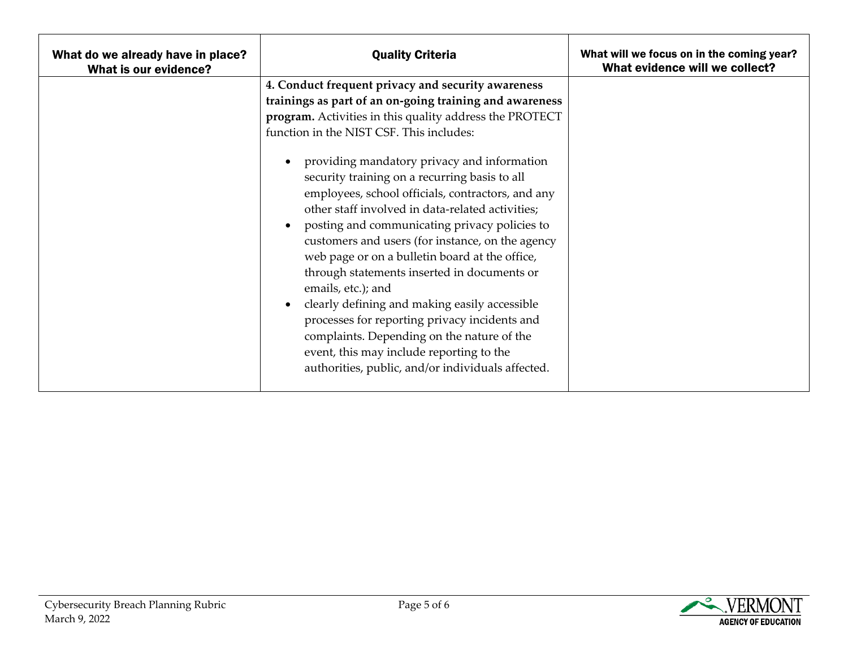| What do we already have in place?<br>What is our evidence? | <b>Quality Criteria</b>                                                                                                                                                                                                                                                                                                                                                                                                                                                                                                                                                                                                                                                                                                                                                                                                                                                                                    | What will we focus on in the coming year?<br>What evidence will we collect? |
|------------------------------------------------------------|------------------------------------------------------------------------------------------------------------------------------------------------------------------------------------------------------------------------------------------------------------------------------------------------------------------------------------------------------------------------------------------------------------------------------------------------------------------------------------------------------------------------------------------------------------------------------------------------------------------------------------------------------------------------------------------------------------------------------------------------------------------------------------------------------------------------------------------------------------------------------------------------------------|-----------------------------------------------------------------------------|
|                                                            | 4. Conduct frequent privacy and security awareness<br>trainings as part of an on-going training and awareness<br>program. Activities in this quality address the PROTECT<br>function in the NIST CSF. This includes:<br>providing mandatory privacy and information<br>security training on a recurring basis to all<br>employees, school officials, contractors, and any<br>other staff involved in data-related activities;<br>posting and communicating privacy policies to<br>customers and users (for instance, on the agency<br>web page or on a bulletin board at the office,<br>through statements inserted in documents or<br>emails, etc.); and<br>clearly defining and making easily accessible<br>processes for reporting privacy incidents and<br>complaints. Depending on the nature of the<br>event, this may include reporting to the<br>authorities, public, and/or individuals affected. |                                                                             |